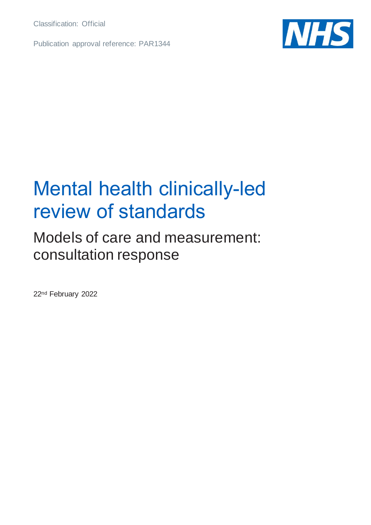Classification: Official

Publication approval reference: PAR1344



### Mental health clinically-led review of standards

### Models of care and measurement: consultation response

22nd February 2022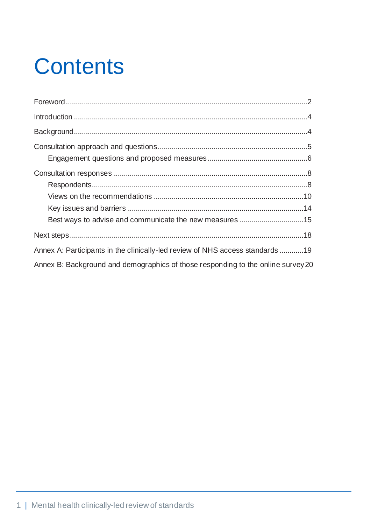# **Contents**

| Best ways to advise and communicate the new measures 15                          |  |
|----------------------------------------------------------------------------------|--|
|                                                                                  |  |
| Annex A: Participants in the clinically-led review of NHS access standards 19    |  |
| Annex B: Background and demographics of those responding to the online survey 20 |  |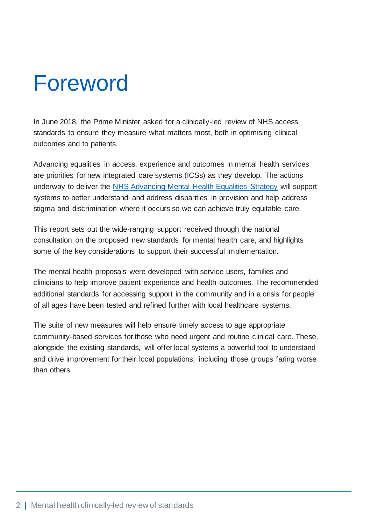## <span id="page-2-0"></span>Foreword

In June 2018, the Prime Minister asked for a clinically-led review of NHS access standards to ensure they measure what matters most, both in optimising clinical outcomes and to patients.

Advancing equalities in access, experience and outcomes in mental health services are priorities for new integrated care systems (ICSs) as they develop. The actions underway to deliver the [NHS Advancing Mental Health Equalities Strategy](https://www.england.nhs.uk/publication/advancing-mental-health-equalities-strategy/) will support systems to better understand and address disparities in provision and help address stigma and discrimination where it occurs so we can achieve truly equitable care.

This report sets out the wide-ranging support received through the national consultation on the proposed new standards for mental health care, and highlights some of the key considerations to support their successful implementation.

The mental health proposals were developed with service users, families and clinicians to help improve patient experience and health outcomes. The recommended additional standards for accessing support in the community and in a crisis for people of all ages have been tested and refined further with local healthcare systems.

The suite of new measures will help ensure timely access to age appropriate community-based services for those who need urgent and routine clinical care. These, alongside the existing standards, will offer local systems a powerful tool to understand and drive improvement for their local populations, including those groups faring worse than others.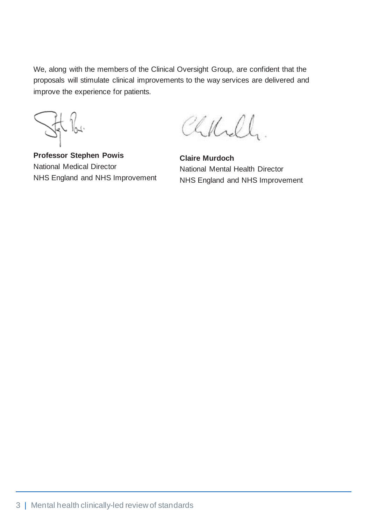We, along with the members of the Clinical Oversight Group, are confident that the proposals will stimulate clinical improvements to the way services are delivered and improve the experience for patients.

**Professor Stephen Powis** National Medical Director NHS England and NHS Improvement

Chkell.

**Claire Murdoch** National Mental Health Director NHS England and NHS Improvement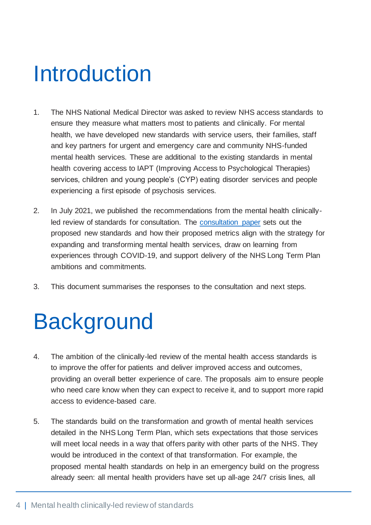## <span id="page-4-0"></span>Introduction

- 1. The NHS National Medical Director was asked to review NHS access standards to ensure they measure what matters most to patients and clinically. For mental health, we have developed new standards with service users, their families, staff and key partners for urgent and emergency care and community NHS-funded mental health services. These are additional to the existing standards in mental health covering access to IAPT (Improving Access to Psychological Therapies) services, children and young people's (CYP) eating disorder services and people experiencing a first episode of psychosis services.
- 2. In July 2021, we published the recommendations from the mental health clinicallyled review of standards for consultation. The [consultation paper](https://www.england.nhs.uk/publication/mental-health-clinically-led-review-of-standards-models-of-care-and-measurement/) sets out the proposed new standards and how their proposed metrics align with the strategy for expanding and transforming mental health services, draw on learning from experiences through COVID-19, and support delivery of the NHS Long Term Plan ambitions and commitments.
- 3. This document summarises the responses to the consultation and next steps.

## <span id="page-4-1"></span>**Background**

- 4. The ambition of the clinically-led review of the mental health access standards is to improve the offer for patients and deliver improved access and outcomes, providing an overall better experience of care. The proposals aim to ensure people who need care know when they can expect to receive it, and to support more rapid access to evidence-based care.
- 5. The standards build on the transformation and growth of mental health services detailed in the NHS Long Term Plan, which sets expectations that those services will meet local needs in a way that offers parity with other parts of the NHS. They would be introduced in the context of that transformation. For example, the proposed mental health standards on help in an emergency build on the progress already seen: all mental health providers have set up all-age 24/7 crisis lines, all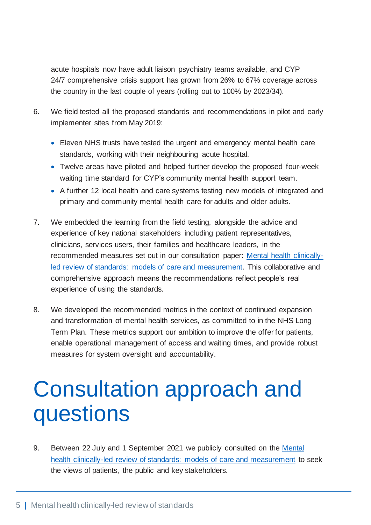acute hospitals now have adult liaison psychiatry teams available, and CYP 24/7 comprehensive crisis support has grown from 26% to 67% coverage across the country in the last couple of years (rolling out to 100% by 2023/34).

- 6. We field tested all the proposed standards and recommendations in pilot and early implementer sites from May 2019:
	- Eleven NHS trusts have tested the urgent and emergency mental health care standards, working with their neighbouring acute hospital.
	- Twelve areas have piloted and helped further develop the proposed four-week waiting time standard for CYP's community mental health support team.
	- A further 12 local health and care systems testing new models of integrated and primary and community mental health care for adults and older adults.
- 7. We embedded the learning from the field testing, alongside the advice and experience of key national stakeholders including patient representatives, clinicians, services users, their families and healthcare leaders, in the recommended measures set out in our consultation paper: [Mental health clinically](https://www.england.nhs.uk/publication/mental-health-clinically-led-review-of-standards-models-of-care-and-measurement/)[led review of standards: models of care and measurement.](https://www.england.nhs.uk/publication/mental-health-clinically-led-review-of-standards-models-of-care-and-measurement/) This collaborative and comprehensive approach means the recommendations reflect people's real experience of using the standards.
- 8. We developed the recommended metrics in the context of continued expansion and transformation of mental health services, as committed to in the NHS Long Term Plan. These metrics support our ambition to improve the offer for patients, enable operational management of access and waiting times, and provide robust measures for system oversight and accountability.

## <span id="page-5-0"></span>Consultation approach and questions

9. Between 22 July and 1 September 2021 we publicly consulted on the [Mental](file://///irnhsft.local/monitor/Redirected/lucy.gardner/Desktop/this%20week/B0295%20-%20ambulance%20service%20wellbeing%20documents%20(x3)New%20folder/Mental%20health%20clinically-led%20review%20of%20standards:%20models%20of%20care%20and%20measurement)  [health clinically-led review of standards: models of care and measurement](file://///irnhsft.local/monitor/Redirected/lucy.gardner/Desktop/this%20week/B0295%20-%20ambulance%20service%20wellbeing%20documents%20(x3)New%20folder/Mental%20health%20clinically-led%20review%20of%20standards:%20models%20of%20care%20and%20measurement) to seek the views of patients, the public and key stakeholders.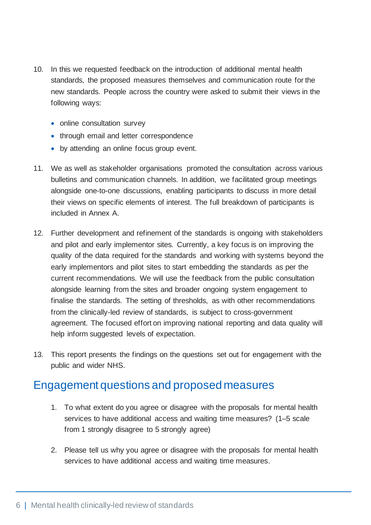- 10. In this we requested feedback on the introduction of additional mental health standards, the proposed measures themselves and communication route for the new standards. People across the country were asked to submit their views in the following ways:
	- online consultation survey
	- through email and letter correspondence
	- by attending an online focus group event.
- 11. We as well as stakeholder organisations promoted the consultation across various bulletins and communication channels. In addition, we facilitated group meetings alongside one-to-one discussions, enabling participants to discuss in more detail their views on specific elements of interest. The full breakdown of participants is included in Annex A.
- 12. Further development and refinement of the standards is ongoing with stakeholders and pilot and early implementor sites. Currently, a key focus is on improving the quality of the data required for the standards and working with systems beyond the early implementors and pilot sites to start embedding the standards as per the current recommendations. We will use the feedback from the public consultation alongside learning from the sites and broader ongoing system engagement to finalise the standards. The setting of thresholds, as with other recommendations from the clinically-led review of standards, is subject to cross-government agreement. The focused effort on improving national reporting and data quality will help inform suggested levels of expectation.
- 13. This report presents the findings on the questions set out for engagement with the public and wider NHS.

### <span id="page-6-0"></span>Engagement questions and proposed measures

- 1. To what extent do you agree or disagree with the proposals for mental health services to have additional access and waiting time measures? (1–5 scale from 1 strongly disagree to 5 strongly agree)
- 2. Please tell us why you agree or disagree with the proposals for mental health services to have additional access and waiting time measures.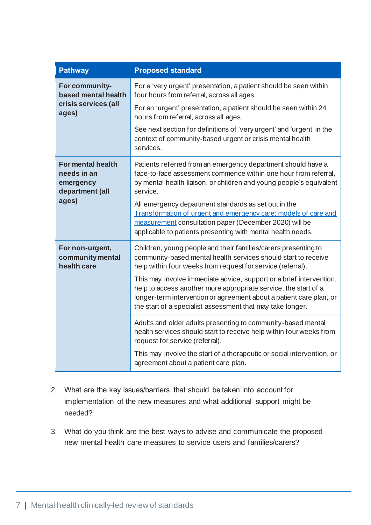| <b>Pathway</b>                                                   | <b>Proposed standard</b>                                                                                                                                                                                                                                                    |
|------------------------------------------------------------------|-----------------------------------------------------------------------------------------------------------------------------------------------------------------------------------------------------------------------------------------------------------------------------|
| For community-<br>based mental health                            | For a 'very urgent' presentation, a patient should be seen within<br>four hours from referral, across all ages.                                                                                                                                                             |
| crisis services (all<br>ages)                                    | For an 'urgent' presentation, a patient should be seen within 24<br>hours from referral, across all ages.                                                                                                                                                                   |
|                                                                  | See next section for definitions of 'very urgent' and 'urgent' in the<br>context of community-based urgent or crisis mental health<br>services.                                                                                                                             |
| For mental health<br>needs in an<br>emergency<br>department (all | Patients referred from an emergency department should have a<br>face-to-face assessment commence within one hour from referral,<br>by mental health liaison, or children and young people's equivalent<br>service.                                                          |
| ages)                                                            | All emergency department standards as set out in the<br>Transformation of urgent and emergency care: models of care and<br>measurement consultation paper (December 2020) will be<br>applicable to patients presenting with mental health needs.                            |
| For non-urgent,<br>community mental<br>health care               | Children, young people and their families/carers presenting to<br>community-based mental health services should start to receive<br>help within four weeks from request for service (referral).                                                                             |
|                                                                  | This may involve immediate advice, support or a brief intervention,<br>help to access another more appropriate service, the start of a<br>longer-term intervention or agreement about a patient care plan, or<br>the start of a specialist assessment that may take longer. |
|                                                                  | Adults and older adults presenting to community-based mental<br>health services should start to receive help within four weeks from<br>request for service (referral).                                                                                                      |
|                                                                  | This may involve the start of a therapeutic or social intervention, or<br>agreement about a patient care plan.                                                                                                                                                              |

- 2. What are the key issues/barriers that should be taken into account for implementation of the new measures and what additional support might be needed?
- 3. What do you think are the best ways to advise and communicate the proposed new mental health care measures to service users and families/carers?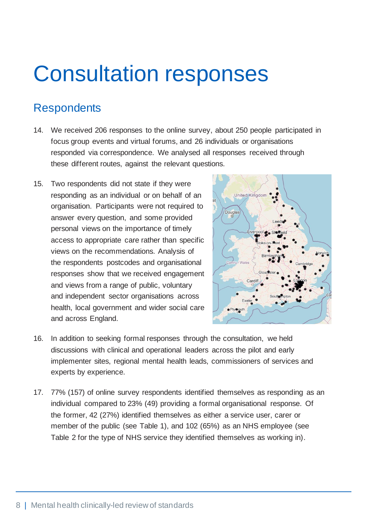### <span id="page-8-0"></span>Consultation responses

### <span id="page-8-1"></span>**Respondents**

- 14. We received 206 responses to the online survey, about 250 people participated in focus group events and virtual forums, and 26 individuals or organisations responded via correspondence. We analysed all responses received through these different routes, against the relevant questions.
- 15. Two respondents did not state if they were responding as an individual or on behalf of an organisation. Participants were not required to answer every question, and some provided personal views on the importance of timely access to appropriate care rather than specific views on the recommendations. Analysis of the respondents postcodes and organisational responses show that we received engagement and views from a range of public, voluntary and independent sector organisations across health, local government and wider social care and across England.



- 16. In addition to seeking formal responses through the consultation, we held discussions with clinical and operational leaders across the pilot and early implementer sites, regional mental health leads, commissioners of services and experts by experience.
- 17. 77% (157) of online survey respondents identified themselves as responding as an individual compared to 23% (49) providing a formal organisational response. Of the former, 42 (27%) identified themselves as either a service user, carer or member of the public (see Table 1), and 102 (65%) as an NHS employee (see Table 2 for the type of NHS service they identified themselves as working in).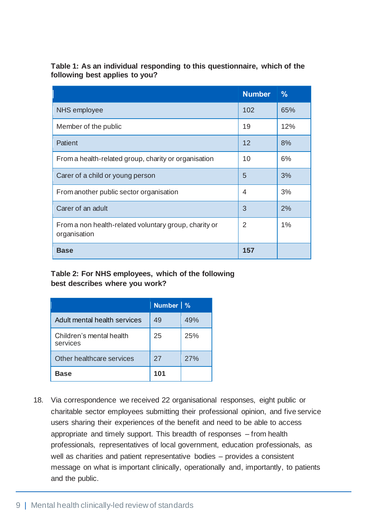**Table 1: As an individual responding to this questionnaire, which of the following best applies to you?**

|                                                                       | <b>Number</b>  | $\frac{9}{6}$ |
|-----------------------------------------------------------------------|----------------|---------------|
| <b>NHS</b> employee                                                   | 102            | 65%           |
| Member of the public                                                  | 19             | 12%           |
| <b>Patient</b>                                                        | 12             | 8%            |
| From a health-related group, charity or organisation                  | 10             | 6%            |
| Carer of a child or young person                                      | 5              | 3%            |
| From another public sector organisation                               | 4              | 3%            |
| Carer of an adult                                                     | 3              | 2%            |
| From a non health-related voluntary group, charity or<br>organisation | $\overline{2}$ | 1%            |
| <b>Base</b>                                                           | 157            |               |

#### **Table 2: For NHS employees, which of the following best describes where you work?**

|                                      | Number <sub>%</sub> |     |
|--------------------------------------|---------------------|-----|
| Adult mental health services         | 49                  | 49% |
| Children's mental health<br>services | 25                  | 25% |
| Other healthcare services            | 27                  | 27% |
| Base                                 | 101                 |     |

18. Via correspondence we received 22 organisational responses, eight public or charitable sector employees submitting their professional opinion, and five service users sharing their experiences of the benefit and need to be able to access appropriate and timely support. This breadth of responses – from health professionals, representatives of local government, education professionals, as well as charities and patient representative bodies – provides a consistent message on what is important clinically, operationally and, importantly, to patients and the public.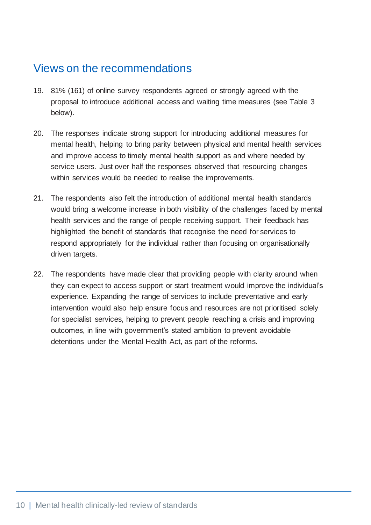### <span id="page-10-0"></span>Views on the recommendations

- 19. 81% (161) of online survey respondents agreed or strongly agreed with the proposal to introduce additional access and waiting time measures (see Table 3 below).
- 20. The responses indicate strong support for introducing additional measures for mental health, helping to bring parity between physical and mental health services and improve access to timely mental health support as and where needed by service users. Just over half the responses observed that resourcing changes within services would be needed to realise the improvements.
- 21. The respondents also felt the introduction of additional mental health standards would bring a welcome increase in both visibility of the challenges faced by mental health services and the range of people receiving support. Their feedback has highlighted the benefit of standards that recognise the need for services to respond appropriately for the individual rather than focusing on organisationally driven targets.
- 22. The respondents have made clear that providing people with clarity around when they can expect to access support or start treatment would improve the individual's experience. Expanding the range of services to include preventative and early intervention would also help ensure focus and resources are not prioritised solely for specialist services, helping to prevent people reaching a crisis and improving outcomes, in line with government's stated ambition to prevent avoidable detentions under the Mental Health Act, as part of the reforms.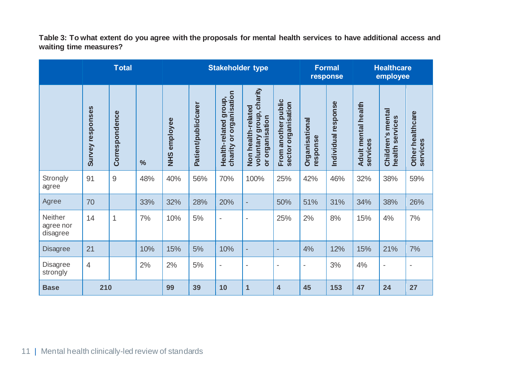**Table 3: To what extent do you agree with the proposals for mental health services to have additional access and waiting time measures?**

|                                         | <b>Total</b>            |                | <b>Stakeholder type</b> |                         | <b>Formal</b><br>response |                                                                 | <b>Healthcare</b><br>employee                                                                   |                                            |                            |                     |                                        |                                         |                                              |
|-----------------------------------------|-------------------------|----------------|-------------------------|-------------------------|---------------------------|-----------------------------------------------------------------|-------------------------------------------------------------------------------------------------|--------------------------------------------|----------------------------|---------------------|----------------------------------------|-----------------------------------------|----------------------------------------------|
|                                         | <b>Survey responses</b> | Correspondence | $\frac{0}{0}$           | employee<br><b>SHIN</b> | Patient/public/carer      | organisation<br>group,<br>Health-related<br><b>b</b><br>charity | , charity<br>Non health-related<br>voluntary group<br>organisation<br>$\overline{\overline{o}}$ | From another public<br>sector organisation | Organisational<br>response | Individual response | <b>Adult mental health</b><br>services | Children's mental<br>services<br>health | healthcare<br>services<br>Other <sup>1</sup> |
| Strongly<br>agree                       | 91                      | $\mathsf 9$    | 48%                     | 40%                     | 56%                       | 70%                                                             | 100%                                                                                            | 25%                                        | 42%                        | 46%                 | 32%                                    | 38%                                     | 59%                                          |
| Agree                                   | 70                      |                | 33%                     | 32%                     | 28%                       | 20%                                                             | $\overline{\phantom{a}}$                                                                        | 50%                                        | 51%                        | 31%                 | 34%                                    | 38%                                     | 26%                                          |
| <b>Neither</b><br>agree nor<br>disagree | 14                      | 1              | 7%                      | 10%                     | 5%                        | $\overline{\phantom{a}}$                                        | $\overline{\phantom{a}}$                                                                        | 25%                                        | 2%                         | 8%                  | 15%                                    | 4%                                      | 7%                                           |
| <b>Disagree</b>                         | 21                      |                | 10%                     | 15%                     | 5%                        | 10%                                                             | $\overline{\phantom{a}}$                                                                        | $\overline{\phantom{0}}$                   | 4%                         | 12%                 | 15%                                    | 21%                                     | 7%                                           |
| Disagree<br>strongly                    | $\overline{4}$          |                | 2%                      | 2%                      | $5%$                      | $\overline{\phantom{a}}$                                        | $\overline{a}$                                                                                  | $\blacksquare$                             | $\overline{\phantom{a}}$   | 3%                  | 4%                                     | $\overline{\phantom{a}}$                | $\qquad \qquad -$                            |
| <b>Base</b>                             | 210                     |                |                         | 99                      | 39                        | 10                                                              | 1                                                                                               | $\overline{\mathbf{4}}$                    | 45                         | 153                 | 47                                     | 24                                      | 27                                           |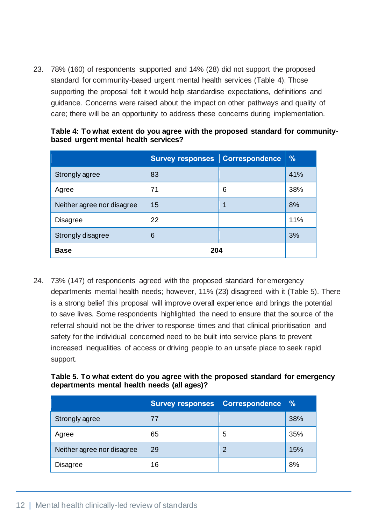23. 78% (160) of respondents supported and 14% (28) did not support the proposed standard for community-based urgent mental health services (Table 4). Those supporting the proposal felt it would help standardise expectations, definitions and guidance. Concerns were raised about the impact on other pathways and quality of care; there will be an opportunity to address these concerns during implementation.

|                            | Survey responses   Correspondence   % |   |     |
|----------------------------|---------------------------------------|---|-----|
| Strongly agree             | 83                                    |   | 41% |
| Agree                      | 71                                    | 6 | 38% |
| Neither agree nor disagree | 15                                    | 1 | 8%  |
| <b>Disagree</b>            | 22                                    |   | 11% |
| Strongly disagree          | 6                                     |   | 3%  |
| <b>Base</b>                | 204                                   |   |     |

**Table 4: To what extent do you agree with the proposed standard for communitybased urgent mental health services?**

24. 73% (147) of respondents agreed with the proposed standard for emergency departments mental health needs; however, 11% (23) disagreed with it (Table 5). There is a strong belief this proposal will improve overall experience and brings the potential to save lives. Some respondents highlighted the need to ensure that the source of the referral should not be the driver to response times and that clinical prioritisation and safety for the individual concerned need to be built into service plans to prevent increased inequalities of access or driving people to an unsafe place to seek rapid support.

| Table 5. To what extent do you agree with the proposed standard for emergency |  |  |
|-------------------------------------------------------------------------------|--|--|
| departments mental health needs (all ages)?                                   |  |  |

|                            | <b>Survey responses</b> | <b>Correspondence</b> | $\frac{9}{6}$ |
|----------------------------|-------------------------|-----------------------|---------------|
| Strongly agree             | 77                      |                       | 38%           |
| Agree                      | 65                      | 5                     | 35%           |
| Neither agree nor disagree | 29                      | 2                     | 15%           |
| Disagree                   | 16                      |                       | 8%            |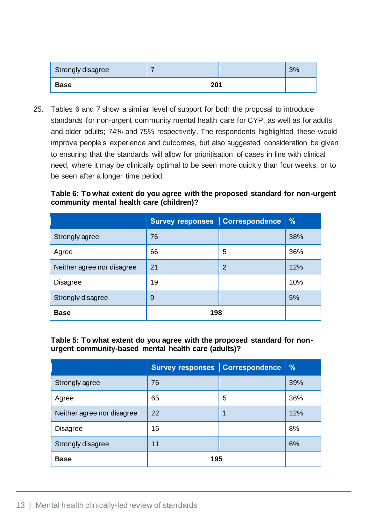| Strongly disagree |     | 3% |
|-------------------|-----|----|
| <b>Base</b>       | 201 |    |

25. Tables 6 and 7 show a similar level of support for both the proposal to introduce standards for non-urgent community mental health care for CYP, as well as for adults and older adults; 74% and 75% respectively. The respondents highlighted these would improve people's experience and outcomes, but also suggested consideration be given to ensuring that the standards will allow for prioritisation of cases in line with clinical need, where it may be clinically optimal to be seen more quickly than four weeks, or to be seen after a longer time period.

#### **Table 6: To what extent do you agree with the proposed standard for non-urgent community mental health care (children)?**

|                            | Survey responses   Correspondence   % |   |     |
|----------------------------|---------------------------------------|---|-----|
| Strongly agree             | 76                                    |   | 38% |
| Agree                      | 66                                    | 5 | 36% |
| Neither agree nor disagree | 21                                    | 2 | 12% |
| <b>Disagree</b>            | 19                                    |   | 10% |
| Strongly disagree          | 9                                     |   | 5%  |
| <b>Base</b>                | 198                                   |   |     |

#### **Table 5: To what extent do you agree with the proposed standard for nonurgent community-based mental health care (adults)?**

|                            | Survey responses   Correspondence   % |   |     |
|----------------------------|---------------------------------------|---|-----|
| Strongly agree             | 76                                    |   | 39% |
| Agree                      | 65                                    | 5 | 36% |
| Neither agree nor disagree | 22                                    | 1 | 12% |
| <b>Disagree</b>            | 15                                    |   | 8%  |
| Strongly disagree          | 11                                    |   | 6%  |
| <b>Base</b>                | 195                                   |   |     |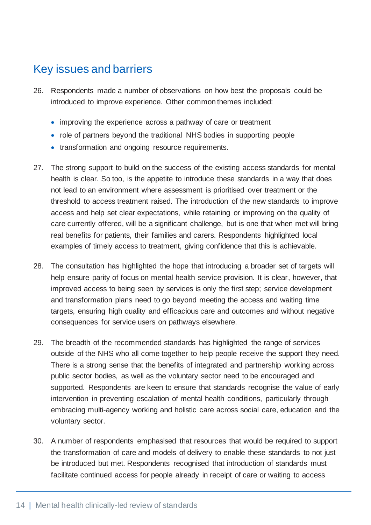### <span id="page-14-0"></span>Key issues and barriers

- 26. Respondents made a number of observations on how best the proposals could be introduced to improve experience. Other common themes included:
	- improving the experience across a pathway of care or treatment
	- role of partners beyond the traditional NHS bodies in supporting people
	- transformation and ongoing resource requirements.
- 27. The strong support to build on the success of the existing access standards for mental health is clear. So too, is the appetite to introduce these standards in a way that does not lead to an environment where assessment is prioritised over treatment or the threshold to access treatment raised. The introduction of the new standards to improve access and help set clear expectations, while retaining or improving on the quality of care currently offered, will be a significant challenge, but is one that when met will bring real benefits for patients, their families and carers. Respondents highlighted local examples of timely access to treatment, giving confidence that this is achievable.
- 28. The consultation has highlighted the hope that introducing a broader set of targets will help ensure parity of focus on mental health service provision. It is clear, however, that improved access to being seen by services is only the first step; service development and transformation plans need to go beyond meeting the access and waiting time targets, ensuring high quality and efficacious care and outcomes and without negative consequences for service users on pathways elsewhere.
- 29. The breadth of the recommended standards has highlighted the range of services outside of the NHS who all come together to help people receive the support they need. There is a strong sense that the benefits of integrated and partnership working across public sector bodies, as well as the voluntary sector need to be encouraged and supported. Respondents are keen to ensure that standards recognise the value of early intervention in preventing escalation of mental health conditions, particularly through embracing multi-agency working and holistic care across social care, education and the voluntary sector.
- 30. A number of respondents emphasised that resources that would be required to support the transformation of care and models of delivery to enable these standards to not just be introduced but met. Respondents recognised that introduction of standards must facilitate continued access for people already in receipt of care or waiting to access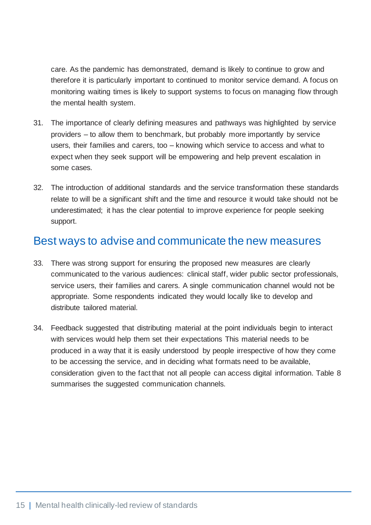care. As the pandemic has demonstrated, demand is likely to continue to grow and therefore it is particularly important to continued to monitor service demand. A focus on monitoring waiting times is likely to support systems to focus on managing flow through the mental health system.

- 31. The importance of clearly defining measures and pathways was highlighted by service providers – to allow them to benchmark, but probably more importantly by service users, their families and carers, too – knowing which service to access and what to expect when they seek support will be empowering and help prevent escalation in some cases.
- 32. The introduction of additional standards and the service transformation these standards relate to will be a significant shift and the time and resource it would take should not be underestimated; it has the clear potential to improve experience for people seeking support.

### <span id="page-15-0"></span>Best ways to advise and communicate the new measures

- 33. There was strong support for ensuring the proposed new measures are clearly communicated to the various audiences: clinical staff, wider public sector professionals, service users, their families and carers. A single communication channel would not be appropriate. Some respondents indicated they would locally like to develop and distribute tailored material.
- 34. Feedback suggested that distributing material at the point individuals begin to interact with services would help them set their expectations This material needs to be produced in a way that it is easily understood by people irrespective of how they come to be accessing the service, and in deciding what formats need to be available, consideration given to the fact that not all people can access digital information. Table 8 summarises the suggested communication channels.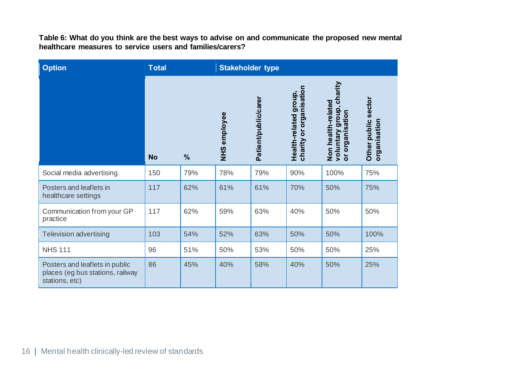**Table 6: What do you think are the best ways to advise on and communicate the proposed new mental healthcare measures to service users and families/carers?**

| <b>Option</b>                                                                        | <b>Total</b> |               | <b>Stakeholder type</b> |                      |                                                       |                                                                                                 |                                     |
|--------------------------------------------------------------------------------------|--------------|---------------|-------------------------|----------------------|-------------------------------------------------------|-------------------------------------------------------------------------------------------------|-------------------------------------|
|                                                                                      | <b>No</b>    | $\frac{0}{0}$ | NHS employee            | Patient/public/carer | ororganisation<br>group,<br>Health-related<br>charity | voluntary group, charity<br>Non health-related<br>rganisation<br>$\circ$<br>$\overline{\sigma}$ | Other public sector<br>organisation |
| Social media advertising                                                             | 150          | 79%           | 78%                     | 79%                  | 90%                                                   | 100%                                                                                            | 75%                                 |
| Posters and leaflets in<br>healthcare settings                                       | 117          | 62%           | 61%                     | 61%                  | 70%                                                   | 50%                                                                                             | 75%                                 |
| Communication from your GP<br>practice                                               | 117          | 62%           | 59%                     | 63%                  | 40%                                                   | 50%                                                                                             | 50%                                 |
| <b>Television advertising</b>                                                        | 103          | 54%           | 52%                     | 63%                  | 50%                                                   | 50%                                                                                             | 100%                                |
| <b>NHS 111</b>                                                                       | 96           | 51%           | 50%                     | 53%                  | 50%                                                   | 50%                                                                                             | 25%                                 |
| Posters and leaflets in public<br>places (eg bus stations, railway<br>stations, etc) | 86           | 45%           | 40%                     | 58%                  | 40%                                                   | 50%                                                                                             | 25%                                 |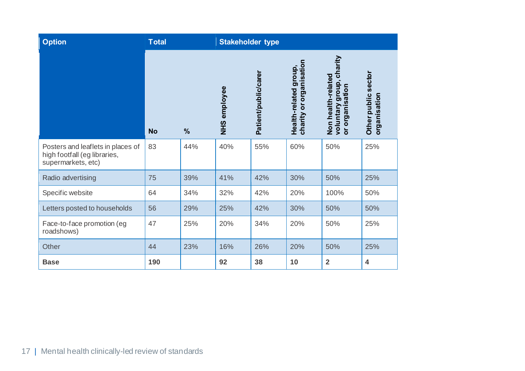| <b>Option</b>                                                                           | <b>Total</b> |               | <b>Stakeholder type</b> |                      |                                                  |                                                                   |                                     |
|-----------------------------------------------------------------------------------------|--------------|---------------|-------------------------|----------------------|--------------------------------------------------|-------------------------------------------------------------------|-------------------------------------|
|                                                                                         | <b>No</b>    | $\frac{0}{0}$ | NHS employee            | Patient/public/carer | charity or organisation<br>Health-related group, | voluntary group, charity<br>Non health-related<br>or organisation | Other public sector<br>organisation |
| Posters and leaflets in places of<br>high footfall (eg libraries,<br>supermarkets, etc) | 83           | 44%           | 40%                     | 55%                  | 60%                                              | 50%                                                               | 25%                                 |
| Radio advertising                                                                       | 75           | 39%           | 41%                     | 42%                  | 30%                                              | 50%                                                               | 25%                                 |
| Specific website                                                                        | 64           | 34%           | 32%                     | 42%                  | 20%                                              | 100%                                                              | 50%                                 |
| Letters posted to households                                                            | 56           | 29%           | 25%                     | 42%                  | 30%                                              | 50%                                                               | 50%                                 |
| Face-to-face promotion (eg<br>roadshows)                                                | 47           | 25%           | 20%                     | 34%                  | 20%                                              | 50%                                                               | 25%                                 |
| Other                                                                                   | 44           | 23%           | 16%                     | 26%                  | 20%                                              | 50%                                                               | 25%                                 |
| <b>Base</b>                                                                             | 190          |               | 92                      | 38                   | 10                                               | $\overline{2}$                                                    | $\overline{\mathbf{4}}$             |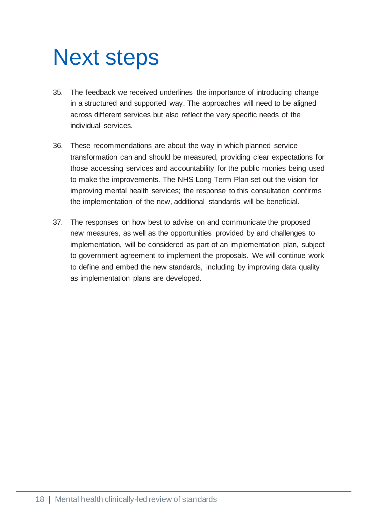## <span id="page-18-0"></span>Next steps

- 35. The feedback we received underlines the importance of introducing change in a structured and supported way. The approaches will need to be aligned across different services but also reflect the very specific needs of the individual services.
- 36. These recommendations are about the way in which planned service transformation can and should be measured, providing clear expectations for those accessing services and accountability for the public monies being used to make the improvements. The NHS Long Term Plan set out the vision for improving mental health services; the response to this consultation confirms the implementation of the new, additional standards will be beneficial.
- 37. The responses on how best to advise on and communicate the proposed new measures, as well as the opportunities provided by and challenges to implementation, will be considered as part of an implementation plan, subject to government agreement to implement the proposals. We will continue work to define and embed the new standards, including by improving data quality as implementation plans are developed.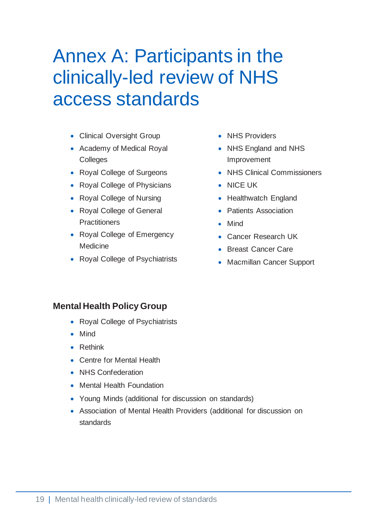### <span id="page-19-0"></span>Annex A: Participants in the clinically-led review of NHS access standards

- Clinical Oversight Group
- Academy of Medical Royal **Colleges**
- Royal College of Surgeons
- Royal College of Physicians
- Royal College of Nursing
- Royal College of General **Practitioners**
- Royal College of Emergency **Medicine**
- Royal College of Psychiatrists
- NHS Providers
- NHS England and NHS Improvement
- NHS Clinical Commissioners
- NICE UK
- Healthwatch England
- Patients Association
- Mind
- Cancer Research UK
- Breast Cancer Care
- Macmillan Cancer Support

#### **Mental Health Policy Group**

- Royal College of Psychiatrists
- Mind
- Rethink
- Centre for Mental Health
- NHS Confederation
- Mental Health Foundation
- Young Minds (additional for discussion on standards)
- Association of Mental Health Providers (additional for discussion on standards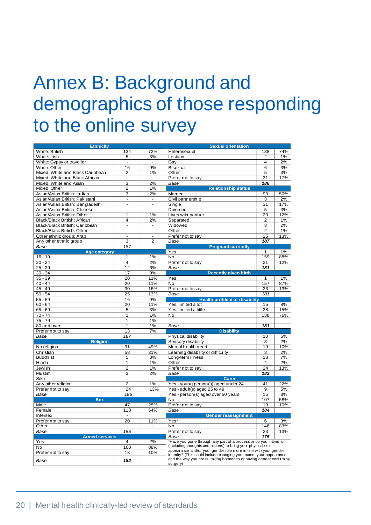### <span id="page-20-0"></span>Annex B: Background and demographics of those responding to the online survey

| <b>Ethnicity</b>                 |                         | <b>Sexual orientation</b>     |                                                                                                                                       |                      |           |  |  |
|----------------------------------|-------------------------|-------------------------------|---------------------------------------------------------------------------------------------------------------------------------------|----------------------|-----------|--|--|
| White: British                   | 134                     | 72%                           | Heterosexual                                                                                                                          | 138                  | 74%       |  |  |
| White: Irish                     | 5                       | 3%                            | Lesbian                                                                                                                               | 2                    | $1\%$     |  |  |
| White: Gypsy or traveller        | $\blacksquare$          | $\blacksquare$                | Gay                                                                                                                                   | $\overline{4}$       | 2%        |  |  |
| White: Other                     | 16                      | 9%                            | <b>Bisexual</b>                                                                                                                       |                      | 3%        |  |  |
| Mixed: White and Black Caribbean | 2                       | 1%                            | Other                                                                                                                                 |                      | 3%        |  |  |
| Mixed: White and Black African   |                         |                               | Prefer not to say                                                                                                                     |                      | 17%       |  |  |
| Mixed: White and Asian           | 3                       | 2%                            | Base                                                                                                                                  |                      |           |  |  |
| Mixed: Other                     | $\overline{2}$          | 1%                            | <b>Relationship status</b>                                                                                                            |                      |           |  |  |
| Asian/Asian British: Indian      | $\overline{\mathbf{3}}$ | 2%                            | Married                                                                                                                               |                      | 50%       |  |  |
| Asian/Asian British: Pakistani   | ä,                      |                               | Civil partnership                                                                                                                     |                      | 2%        |  |  |
| Asian/Asian British: Bangladeshi | $\blacksquare$          | $\overline{\phantom{a}}$      | Single                                                                                                                                |                      | 17%       |  |  |
| Asian/Asian British: Chinese     | ä,                      | $\overline{a}$                | Divorced                                                                                                                              |                      | 3%        |  |  |
| Asian/Asian British: Other       | 1                       | 1%                            | Lives with partner                                                                                                                    |                      | 12%       |  |  |
| Black/Black British: African     | 4                       | 2%                            | Separated                                                                                                                             |                      | 1%        |  |  |
| Black/Black British: Caribbean   | $\blacksquare$          | $\overline{\phantom{a}}$      | Widowed                                                                                                                               |                      | 2%        |  |  |
| Black/Black British: Other       | L,                      | $\blacksquare$                | Other                                                                                                                                 | 3<br>$\overline{2}$  | 1%        |  |  |
| Other ethnic group: Arab         | $\overline{a}$          | $\overline{a}$                | Prefer not to say                                                                                                                     | $\overline{25}$      | 13%       |  |  |
| Any other ethnic group           | 3                       | $\overline{2}$                | Base                                                                                                                                  | 187                  |           |  |  |
| <b>Base</b>                      | 187                     |                               | <b>Pregnant currently</b>                                                                                                             |                      |           |  |  |
| <b>Age category</b>              |                         |                               | Yes<br>1                                                                                                                              |                      |           |  |  |
| $16 - 19$                        | 1                       | 1%                            | No                                                                                                                                    | 159                  | 1%<br>88% |  |  |
| $20 - 24$                        | 4                       | 2%                            | Prefer not to say                                                                                                                     | 21                   | 12%       |  |  |
| $25 - 29$                        | 12                      | 6%                            | Base                                                                                                                                  | 181                  |           |  |  |
| $30 - 34$                        | 17                      | 9%                            | <b>Recently given birth</b>                                                                                                           |                      |           |  |  |
| $35 - 39$                        | 20                      | 11%                           | Yes                                                                                                                                   | 1                    | 1%        |  |  |
| $40 - 44$                        | 20                      | 11%                           | No                                                                                                                                    | 157                  | 87%       |  |  |
| $45 - 49$                        | 30                      | 16%                           |                                                                                                                                       |                      |           |  |  |
| $50 - 54$                        | 25                      | 13%                           | Prefer not to say                                                                                                                     |                      | 13%       |  |  |
|                                  |                         |                               | Base                                                                                                                                  |                      |           |  |  |
| $55 - 59$                        | 16                      | 9%                            | <b>Health problem or disability</b>                                                                                                   |                      |           |  |  |
| $60 - 64$                        | 20                      | 11%                           | Yes, limited a lot                                                                                                                    |                      | 8%        |  |  |
| $65 - 69$                        | 5                       | 3%                            | Yes, limited a little                                                                                                                 |                      | 15%       |  |  |
| $70 - 74$                        | $\overline{2}$          | 1%                            | No                                                                                                                                    |                      | 76%       |  |  |
| $75 - 79$                        | 1                       | 1%                            |                                                                                                                                       |                      |           |  |  |
| 80 and over                      | 1                       | 1%                            | Base                                                                                                                                  | 181                  |           |  |  |
| Prefer not to say                | 13                      | 7%                            | <b>Disability</b>                                                                                                                     | 10                   |           |  |  |
| Base                             | 187                     |                               | Physical disability                                                                                                                   |                      | 5%        |  |  |
| <b>Religion</b>                  |                         | Sensory disability<br>3<br>2% |                                                                                                                                       |                      |           |  |  |
| No religion                      | 91                      | 49%                           | Mental health need                                                                                                                    | 19                   | 10%       |  |  |
| Christian                        | 58                      | 31%                           | Learning disability or difficulty                                                                                                     | $\overline{3}$<br>13 | 2%        |  |  |
| <b>Buddhist</b>                  | 5                       | 3%                            | Long-term illness                                                                                                                     |                      | 7%        |  |  |
| Hindu                            | 1                       | 1%                            | Other                                                                                                                                 |                      | 2%        |  |  |
| Jewish                           | $\overline{2}$          | 1%                            | Prefer not to say                                                                                                                     |                      | 13%       |  |  |
| Muslim                           | 3                       | 2%                            | Base                                                                                                                                  | 182                  |           |  |  |
| Sikh                             | $\frac{1}{2}$           | $\blacksquare$                | <b>Carer</b>                                                                                                                          | 41                   |           |  |  |
| Any other religion               | $\overline{2}$          | 1%                            | Yes - young person(s) aged under 24                                                                                                   |                      | 22%       |  |  |
| Prefer not to say                | 24                      | 13%                           | Yes - adult(s) aged 25 to 49                                                                                                          | 9                    | 5%        |  |  |
| <b>Base</b>                      | 186                     |                               | Yes - person(s) aged over 50 years                                                                                                    | 15                   | 8%        |  |  |
| <b>Sex</b>                       |                         |                               | No                                                                                                                                    | 107                  | 58%       |  |  |
| Male                             | 47                      | 25%                           | Prefer not to say                                                                                                                     | 19                   | 10%       |  |  |
| Female                           | 118                     | 64%                           | Base                                                                                                                                  | 184                  |           |  |  |
| Intersex                         | ÷                       |                               | <b>Gender reassignment</b>                                                                                                            |                      |           |  |  |
| Prefer not to say                | 20                      | 11%                           | Yes*                                                                                                                                  |                      | 3%        |  |  |
| Other                            | ä,                      | $\blacksquare$                | No<br>146                                                                                                                             |                      | 83%       |  |  |
| Base                             | 185                     |                               | Prefer not to say<br>23                                                                                                               |                      | 13%       |  |  |
| <b>Armed services</b>            |                         |                               | Base                                                                                                                                  | 175                  |           |  |  |
| Yes                              | 4                       | 2%                            | *Have you gone through any part of a process or do you intend to                                                                      |                      |           |  |  |
| No                               | 160                     | 88%                           | (including thoughts and actions) to bring your physical sex                                                                           |                      |           |  |  |
| Prefer not to say                | 18                      | 10%                           | appearance and/or your gender role more in line with your gender<br>identity? (This could include changing your name, your appearance |                      |           |  |  |
|                                  |                         |                               | and the way you dress, taking hormones or having gender confirming                                                                    |                      |           |  |  |
| Base                             | 182                     |                               | surgery)                                                                                                                              |                      |           |  |  |